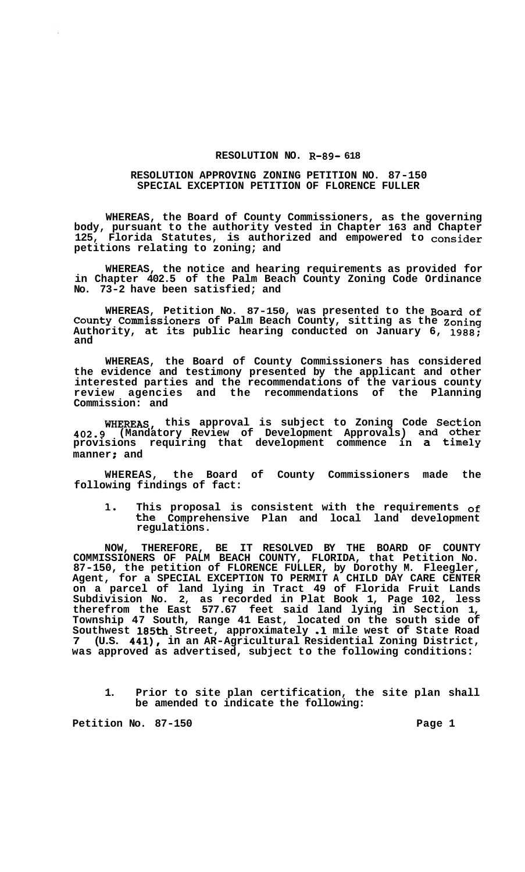## **RESOLUTION NO. R-89- 618**

## **RESOLUTION APPROVING ZONING PETITION NO. 87-150 SPECIAL EXCEPTION PETITION OF FLORENCE FULLER**

**WHEREAS, the Board of County Commissioners, as the governing body, pursuant to the authority vested in Chapter 163 and Chapter 125, Florida Statutes, is authorized and empowered to consider petitions relating to zoning; and** 

**WHEREAS, the notice and hearing requirements as provided for in Chapter 402.5 of the Palm Beach County Zoning Code Ordinance No. 73-2 have been satisfied; and** 

**WHEREAS, Petition No. 87-150, was presented to the Board of County Commissioners of Palm Beach County, sitting as the Zoning Authority, at its public hearing conducted on January 6, 1988; and** 

**WHEREAS, the Board of County Commissioners has considered the evidence and testimony presented by the applicant and other interested parties and the recommendations of the various county review agencies and the recommendations of the Planning Commission: and** 

**WHEREAS, this approval is subject to Zoning Code Section 402.9 (Mandatory Review of Development Approvals) and other provisions requiring that development commence in a timely manner** *t* **and** 

**WHEREAS, the Board of County Commissioners made the following findings of fact:** 

**1. This proposal is consistent with the requirements of the Comprehensive Plan and local land development regulations.** 

**NOW, THEREFORE, BE IT RESOLVED BY THE BOARD OF COUNTY COMMISSIONERS OF PALM BEACH COUNTY, FLORIDA, that Petition No. 87-150, the petition of FLORENCE FULLER, by Dorothy M. Fleegler, Agent, for a SPECIAL EXCEPTION TO PERMIT A CHILD DAY CARE CENTER on a parcel of land lying in Tract 49 of Florida Fruit Lands Subdivision No. 2, as recorded in Plat Book 1, Page 102, less therefrom the East 577.67 feet said land lying in Section 1, Township 47 South, Range 41 East, located on the south side of Southwest 185th Street, approximately .1 mile west of State Road 7 (U.S. 441), in an AR-Agricultural Residential Zoning District, was approved as advertised, subject to the following conditions:** 

**1. Prior to site plan certification, the site plan shall be amended to indicate the following:** 

**Petition No. 87-150 Page 1**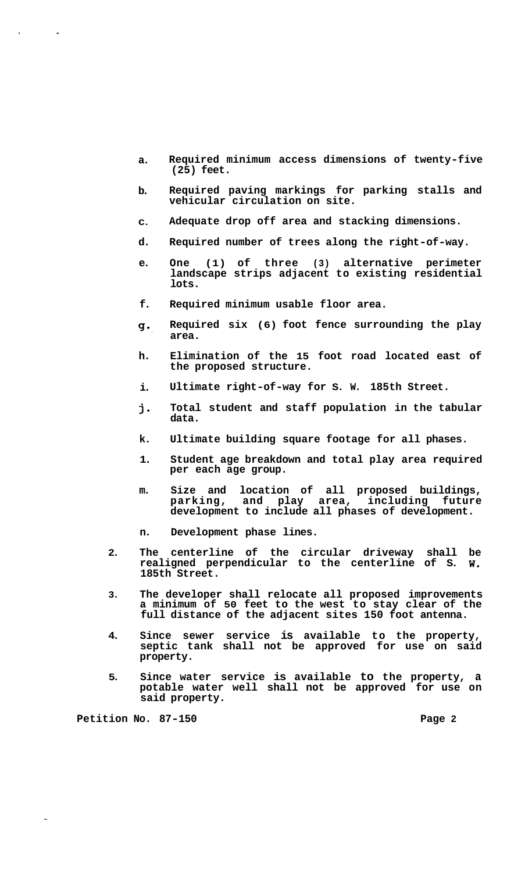- **a. Required minimum access dimensions of twenty-five (25) feet.**
- **b. Required paving markings for parking stalls and vehicular circulation on site.**
- **C. Adequate drop off area and stacking dimensions.**
- **d. Required number of trees along the right-of-way.**
- **e. One (1) of three (3) alternative perimeter landscape strips adjacent to existing residential lots.**
- **f. Required minimum usable floor area.**
- **g-. Required six (6) foot fence surrounding the play area.**
- **h. Elimination of the 15 foot road located east of the proposed structure.**
- **i. Ultimate right-of-way for S. W. 185th Street.**
- **j-Total student and staff population in the tabular data.**
- **k. Ultimate building square footage for all phases.**
- **1. Student age breakdown and total play area required per each age group.**
- **m. Size and location of all proposed buildings, parking, and play area, including future development to include all phases of development.**
- **n. Development phase lines.**
- **2. The centerline of the circular driveway shall be realigned perpendicular to the centerline of S. W. 185th Street.**
- **3. The developer shall relocate all proposed improvements a minimum of 50 feet to the west to stay clear of the full distance of the adjacent sites 150 foot antenna.**
- **4. Since sewer service is available to the property, septic tank shall not be approved for use on said property.**
- **5. Since water service is available to the property, a potable water well shall not be approved for use on said property.**

**Petition No. 87-150 Page 2 Page 2** 

 $\sim 10$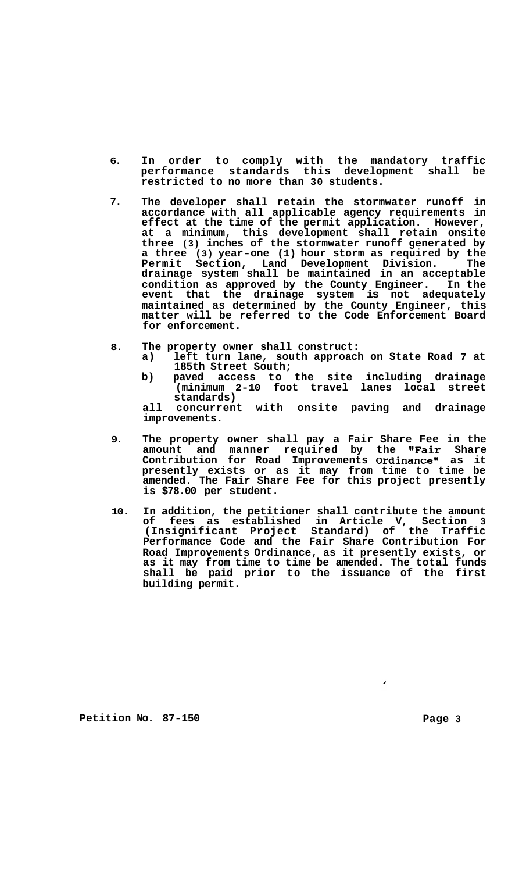- **6. In order to comply with the mandatory traffic performance standards this development shall be restricted to no more than 30 students.**
- **7. The developer shall retain the stormwater runoff in accordance with all applicable agency requirements in effect at the time of the permit application. However, at a minimum, this development shall retain onsite three (3) inches of the stormwater runoff generated by a three (3) year-one (1) hour storm as required by the Permit Section, Land Development Division. The drainage system shall be maintained in an acceptable condition as approved by the County Engineer. In the event that the drainage system is not adequately maintained as determined by the County Engineer, this matter will be referred to the Code Enforcement Board for enforcement.**
- **8. The property owner shall construct:** 
	- **a) left turn lane, south approach on State Road 7 at 185th Street South;**
	- **b) paved access to the site including drainage (minimum 2-10 foot travel lanes local street standards)**

**all concurrent with onsite paving and drainage improvements.** 

- **9. The property owner shall pay a Fair Share Fee in the amount and manner required by the "Fair Share Contribution for Road Improvements Ordinancen as it presently exists or as it may from time to time be amended. The Fair Share Fee for this project presently is \$78.00 per student.**
- **10. In addition, the petitioner shall contribute the amount of fees as established in Article V, Section 3 (Insignificant Project Standard) of the Traffic Performance Code and the Fair Share Contribution For Road Improvements Ordinance, as it presently exists, or as it may from time to time be amended. The total funds shall be paid prior to the issuance of the first building permit.**

**Petition No. 87-150 Page 3**